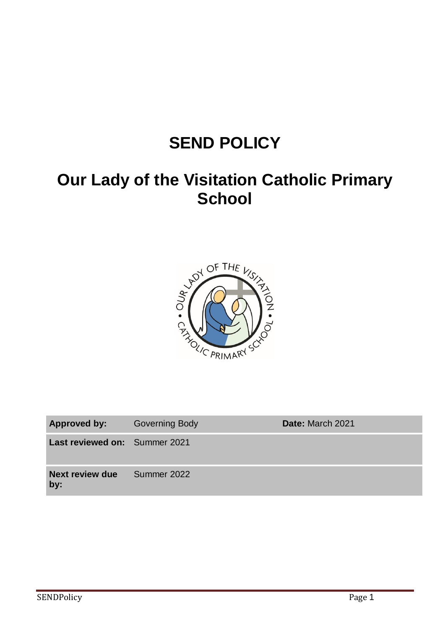# **SEND POLICY**

# **Our Lady of the Visitation Catholic Primary School**



| Approved by:                  | <b>Governing Body</b> | Date: March 2021 |
|-------------------------------|-----------------------|------------------|
| Last reviewed on: Summer 2021 |                       |                  |
| <b>Next review due</b><br>by: | Summer 2022           |                  |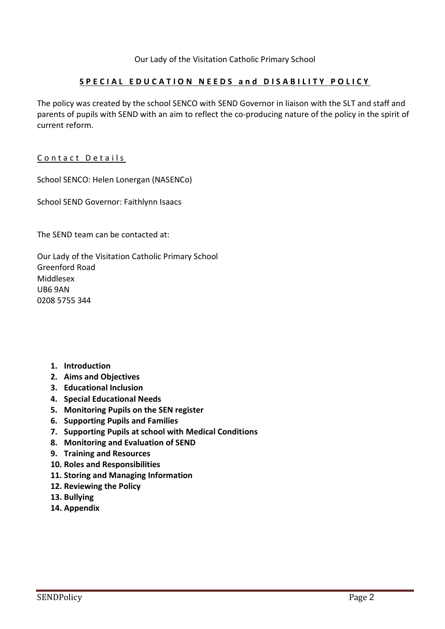## **S P E C I A L E D U C A T I O N N E E D S a n d D I S A B I L I T Y P O L I C Y**

The policy was created by the school SENCO with SEND Governor in liaison with the SLT and staff and parents of pupils with SEND with an aim to reflect the co-producing nature of the policy in the spirit of current reform.

### Contact Details

School SENCO: Helen Lonergan (NASENCo)

School SEND Governor: Faithlynn Isaacs

The SEND team can be contacted at:

Our Lady of the Visitation Catholic Primary School Greenford Road Middlesex UB6 9AN 0208 5755 344

- **1. Introduction**
- **2. Aims and Objectives**
- **3. Educational Inclusion**
- **4. Special Educational Needs**
- **5. Monitoring Pupils on the SEN register**
- **6. Supporting Pupils and Families**
- **7. Supporting Pupils at school with Medical Conditions**
- **8. Monitoring and Evaluation of SEND**
- **9. Training and Resources**
- **10. Roles and Responsibilities**
- **11. Storing and Managing Information**
- **12. Reviewing the Policy**
- **13. Bullying**
- **14. Appendix**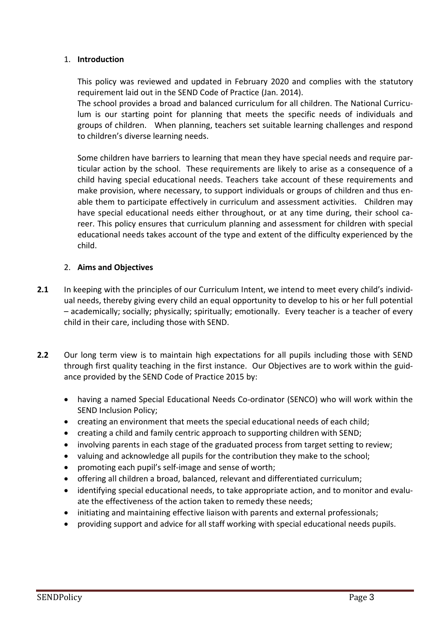#### 1. **Introduction**

This policy was reviewed and updated in February 2020 and complies with the statutory requirement laid out in the SEND Code of Practice (Jan. 2014).

The school provides a broad and balanced curriculum for all children. The National Curriculum is our starting point for planning that meets the specific needs of individuals and groups of children. When planning, teachers set suitable learning challenges and respond to children's diverse learning needs.

Some children have barriers to learning that mean they have special needs and require particular action by the school. These requirements are likely to arise as a consequence of a child having special educational needs. Teachers take account of these requirements and make provision, where necessary, to support individuals or groups of children and thus enable them to participate effectively in curriculum and assessment activities. Children may have special educational needs either throughout, or at any time during, their school career. This policy ensures that curriculum planning and assessment for children with special educational needs takes account of the type and extent of the difficulty experienced by the child.

#### 2. **Aims and Objectives**

- **2.1** In keeping with the principles of our Curriculum Intent, we intend to meet every child's individual needs, thereby giving every child an equal opportunity to develop to his or her full potential – academically; socially; physically; spiritually; emotionally. Every teacher is a teacher of every child in their care, including those with SEND.
- **2.2** Our long term view is to maintain high expectations for all pupils including those with SEND through first quality teaching in the first instance. Our Objectives are to work within the guidance provided by the SEND Code of Practice 2015 by:
	- having a named Special Educational Needs Co-ordinator (SENCO) who will work within the SEND Inclusion Policy;
	- creating an environment that meets the special educational needs of each child;
	- creating a child and family centric approach to supporting children with SEND;
	- involving parents in each stage of the graduated process from target setting to review;
	- valuing and acknowledge all pupils for the contribution they make to the school;
	- promoting each pupil's self-image and sense of worth;
	- offering all children a broad, balanced, relevant and differentiated curriculum;
	- identifying special educational needs, to take appropriate action, and to monitor and evaluate the effectiveness of the action taken to remedy these needs;
	- initiating and maintaining effective liaison with parents and external professionals;
	- providing support and advice for all staff working with special educational needs pupils.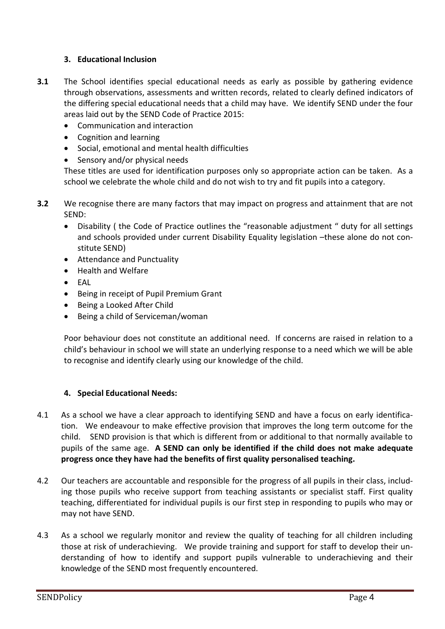## **3. Educational Inclusion**

- **3.1** The School identifies special educational needs as early as possible by gathering evidence through observations, assessments and written records, related to clearly defined indicators of the differing special educational needs that a child may have. We identify SEND under the four areas laid out by the SEND Code of Practice 2015:
	- Communication and interaction
	- Cognition and learning
	- Social, emotional and mental health difficulties
	- Sensory and/or physical needs

These titles are used for identification purposes only so appropriate action can be taken. As a school we celebrate the whole child and do not wish to try and fit pupils into a category.

- **3.2** We recognise there are many factors that may impact on progress and attainment that are not SEND:
	- Disability ( the Code of Practice outlines the "reasonable adjustment " duty for all settings and schools provided under current Disability Equality legislation –these alone do not constitute SEND)
	- Attendance and Punctuality
	- Health and Welfare
	- EAL
	- Being in receipt of Pupil Premium Grant
	- Being a Looked After Child
	- Being a child of Serviceman/woman

Poor behaviour does not constitute an additional need. If concerns are raised in relation to a child's behaviour in school we will state an underlying response to a need which we will be able to recognise and identify clearly using our knowledge of the child.

### **4. Special Educational Needs:**

- 4.1 As a school we have a clear approach to identifying SEND and have a focus on early identification. We endeavour to make effective provision that improves the long term outcome for the child. SEND provision is that which is different from or additional to that normally available to pupils of the same age. **A SEND can only be identified if the child does not make adequate progress once they have had the benefits of first quality personalised teaching.**
- 4.2 Our teachers are accountable and responsible for the progress of all pupils in their class, including those pupils who receive support from teaching assistants or specialist staff. First quality teaching, differentiated for individual pupils is our first step in responding to pupils who may or may not have SEND.
- 4.3 As a school we regularly monitor and review the quality of teaching for all children including those at risk of underachieving. We provide training and support for staff to develop their understanding of how to identify and support pupils vulnerable to underachieving and their knowledge of the SEND most frequently encountered.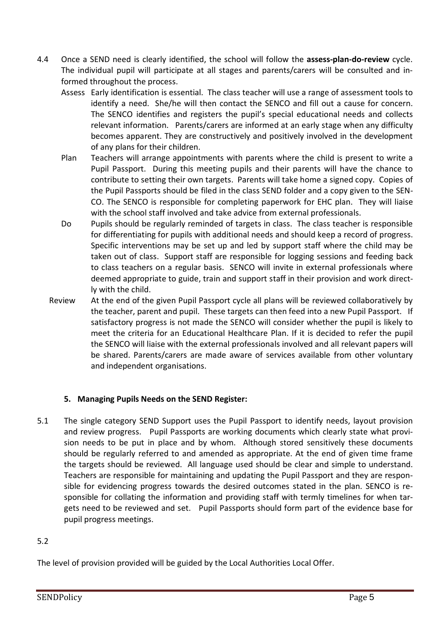- 4.4 Once a SEND need is clearly identified, the school will follow the **assess-plan-do-review** cycle. The individual pupil will participate at all stages and parents/carers will be consulted and informed throughout the process.
	- Assess Early identification is essential. The class teacher will use a range of assessment tools to identify a need. She/he will then contact the SENCO and fill out a cause for concern. The SENCO identifies and registers the pupil's special educational needs and collects relevant information. Parents/carers are informed at an early stage when any difficulty becomes apparent. They are constructively and positively involved in the development of any plans for their children.
	- Plan Teachers will arrange appointments with parents where the child is present to write a Pupil Passport. During this meeting pupils and their parents will have the chance to contribute to setting their own targets. Parents will take home a signed copy. Copies of the Pupil Passports should be filed in the class SEND folder and a copy given to the SEN-CO. The SENCO is responsible for completing paperwork for EHC plan. They will liaise with the school staff involved and take advice from external professionals.
	- Do Pupils should be regularly reminded of targets in class. The class teacher is responsible for differentiating for pupils with additional needs and should keep a record of progress. Specific interventions may be set up and led by support staff where the child may be taken out of class. Support staff are responsible for logging sessions and feeding back to class teachers on a regular basis. SENCO will invite in external professionals where deemed appropriate to guide, train and support staff in their provision and work directly with the child.
	- Review At the end of the given Pupil Passport cycle all plans will be reviewed collaboratively by the teacher, parent and pupil. These targets can then feed into a new Pupil Passport. If satisfactory progress is not made the SENCO will consider whether the pupil is likely to meet the criteria for an Educational Healthcare Plan. If it is decided to refer the pupil the SENCO will liaise with the external professionals involved and all relevant papers will be shared. Parents/carers are made aware of services available from other voluntary and independent organisations.

# **5. Managing Pupils Needs on the SEND Register:**

5.1 The single category SEND Support uses the Pupil Passport to identify needs, layout provision and review progress. Pupil Passports are working documents which clearly state what provision needs to be put in place and by whom. Although stored sensitively these documents should be regularly referred to and amended as appropriate. At the end of given time frame the targets should be reviewed. All language used should be clear and simple to understand. Teachers are responsible for maintaining and updating the Pupil Passport and they are responsible for evidencing progress towards the desired outcomes stated in the plan. SENCO is responsible for collating the information and providing staff with termly timelines for when targets need to be reviewed and set. Pupil Passports should form part of the evidence base for pupil progress meetings.

# 5.2

The level of provision provided will be guided by the Local Authorities Local Offer.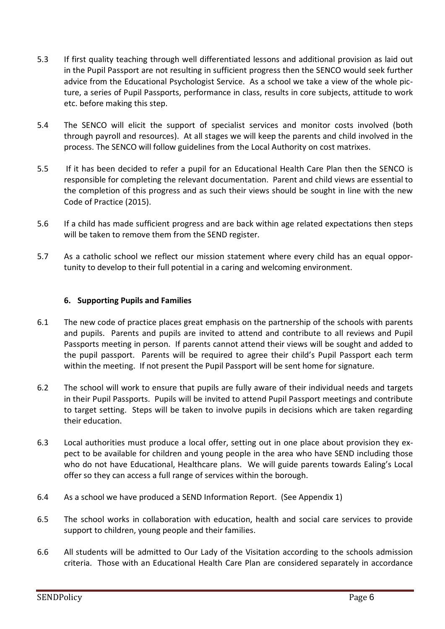- 5.3 If first quality teaching through well differentiated lessons and additional provision as laid out in the Pupil Passport are not resulting in sufficient progress then the SENCO would seek further advice from the Educational Psychologist Service. As a school we take a view of the whole picture, a series of Pupil Passports, performance in class, results in core subjects, attitude to work etc. before making this step.
- 5.4 The SENCO will elicit the support of specialist services and monitor costs involved (both through payroll and resources). At all stages we will keep the parents and child involved in the process. The SENCO will follow guidelines from the Local Authority on cost matrixes.
- 5.5 If it has been decided to refer a pupil for an Educational Health Care Plan then the SENCO is responsible for completing the relevant documentation. Parent and child views are essential to the completion of this progress and as such their views should be sought in line with the new Code of Practice (2015).
- 5.6 If a child has made sufficient progress and are back within age related expectations then steps will be taken to remove them from the SEND register.
- 5.7 As a catholic school we reflect our mission statement where every child has an equal opportunity to develop to their full potential in a caring and welcoming environment.

#### **6. Supporting Pupils and Families**

- 6.1 The new code of practice places great emphasis on the partnership of the schools with parents and pupils. Parents and pupils are invited to attend and contribute to all reviews and Pupil Passports meeting in person. If parents cannot attend their views will be sought and added to the pupil passport. Parents will be required to agree their child's Pupil Passport each term within the meeting. If not present the Pupil Passport will be sent home for signature.
- 6.2 The school will work to ensure that pupils are fully aware of their individual needs and targets in their Pupil Passports. Pupils will be invited to attend Pupil Passport meetings and contribute to target setting. Steps will be taken to involve pupils in decisions which are taken regarding their education.
- 6.3 Local authorities must produce a local offer, setting out in one place about provision they expect to be available for children and young people in the area who have SEND including those who do not have Educational, Healthcare plans. We will guide parents towards Ealing's Local offer so they can access a full range of services within the borough.
- 6.4 As a school we have produced a SEND Information Report. (See Appendix 1)
- 6.5 The school works in collaboration with education, health and social care services to provide support to children, young people and their families.
- 6.6 All students will be admitted to Our Lady of the Visitation according to the schools admission criteria. Those with an Educational Health Care Plan are considered separately in accordance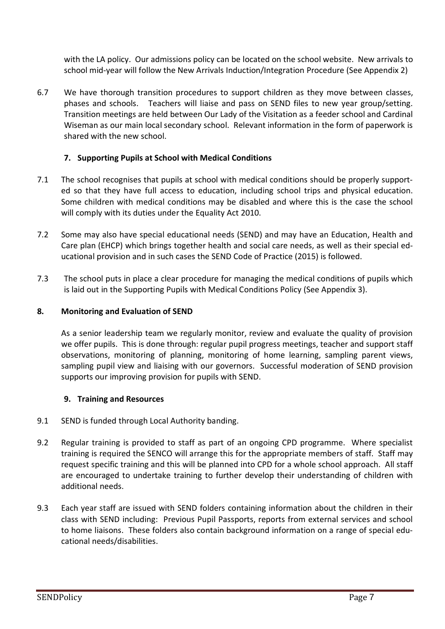with the LA policy. Our admissions policy can be located on the school website. New arrivals to school mid-year will follow the New Arrivals Induction/Integration Procedure (See Appendix 2)

6.7 We have thorough transition procedures to support children as they move between classes, phases and schools. Teachers will liaise and pass on SEND files to new year group/setting. Transition meetings are held between Our Lady of the Visitation as a feeder school and Cardinal Wiseman as our main local secondary school. Relevant information in the form of paperwork is shared with the new school.

### **7. Supporting Pupils at School with Medical Conditions**

- 7.1 The school recognises that pupils at school with medical conditions should be properly supported so that they have full access to education, including school trips and physical education. Some children with medical conditions may be disabled and where this is the case the school will comply with its duties under the Equality Act 2010.
- 7.2 Some may also have special educational needs (SEND) and may have an Education, Health and Care plan (EHCP) which brings together health and social care needs, as well as their special educational provision and in such cases the SEND Code of Practice (2015) is followed.
- 7.3 The school puts in place a clear procedure for managing the medical conditions of pupils which is laid out in the Supporting Pupils with Medical Conditions Policy (See Appendix 3).

## **8. Monitoring and Evaluation of SEND**

As a senior leadership team we regularly monitor, review and evaluate the quality of provision we offer pupils. This is done through: regular pupil progress meetings, teacher and support staff observations, monitoring of planning, monitoring of home learning, sampling parent views, sampling pupil view and liaising with our governors. Successful moderation of SEND provision supports our improving provision for pupils with SEND.

### **9. Training and Resources**

- 9.1 SEND is funded through Local Authority banding.
- 9.2 Regular training is provided to staff as part of an ongoing CPD programme. Where specialist training is required the SENCO will arrange this for the appropriate members of staff. Staff may request specific training and this will be planned into CPD for a whole school approach. All staff are encouraged to undertake training to further develop their understanding of children with additional needs.
- 9.3 Each year staff are issued with SEND folders containing information about the children in their class with SEND including: Previous Pupil Passports, reports from external services and school to home liaisons. These folders also contain background information on a range of special educational needs/disabilities.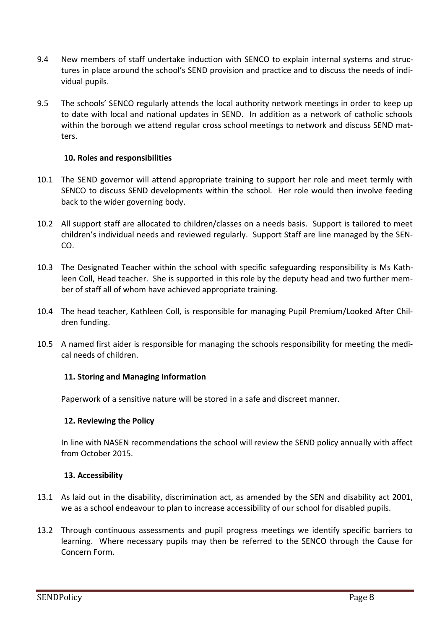- 9.4 New members of staff undertake induction with SENCO to explain internal systems and structures in place around the school's SEND provision and practice and to discuss the needs of individual pupils.
- 9.5 The schools' SENCO regularly attends the local authority network meetings in order to keep up to date with local and national updates in SEND. In addition as a network of catholic schools within the borough we attend regular cross school meetings to network and discuss SEND matters.

#### **10. Roles and responsibilities**

- 10.1 The SEND governor will attend appropriate training to support her role and meet termly with SENCO to discuss SEND developments within the school. Her role would then involve feeding back to the wider governing body.
- 10.2 All support staff are allocated to children/classes on a needs basis. Support is tailored to meet children's individual needs and reviewed regularly. Support Staff are line managed by the SEN-CO.
- 10.3 The Designated Teacher within the school with specific safeguarding responsibility is Ms Kathleen Coll, Head teacher. She is supported in this role by the deputy head and two further member of staff all of whom have achieved appropriate training.
- 10.4 The head teacher, Kathleen Coll, is responsible for managing Pupil Premium/Looked After Children funding.
- 10.5 A named first aider is responsible for managing the schools responsibility for meeting the medical needs of children.

#### **11. Storing and Managing Information**

Paperwork of a sensitive nature will be stored in a safe and discreet manner.

#### **12. Reviewing the Policy**

In line with NASEN recommendations the school will review the SEND policy annually with affect from October 2015.

#### **13. Accessibility**

- 13.1 As laid out in the disability, discrimination act, as amended by the SEN and disability act 2001, we as a school endeavour to plan to increase accessibility of our school for disabled pupils.
- 13.2 Through continuous assessments and pupil progress meetings we identify specific barriers to learning. Where necessary pupils may then be referred to the SENCO through the Cause for Concern Form.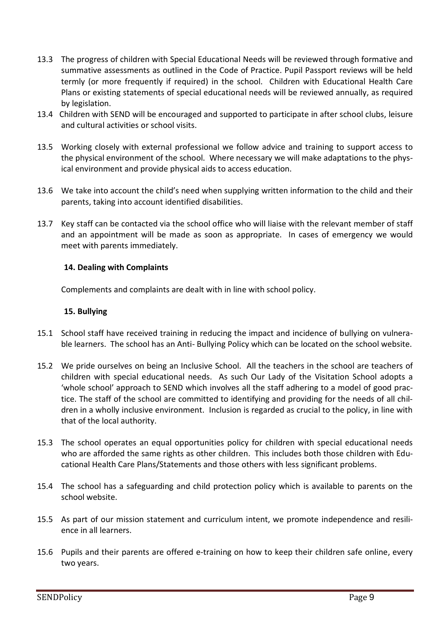- 13.3 The progress of children with Special Educational Needs will be reviewed through formative and summative assessments as outlined in the Code of Practice. Pupil Passport reviews will be held termly (or more frequently if required) in the school. Children with Educational Health Care Plans or existing statements of special educational needs will be reviewed annually, as required by legislation.
- 13.4 Children with SEND will be encouraged and supported to participate in after school clubs, leisure and cultural activities or school visits.
- 13.5 Working closely with external professional we follow advice and training to support access to the physical environment of the school. Where necessary we will make adaptations to the physical environment and provide physical aids to access education.
- 13.6 We take into account the child's need when supplying written information to the child and their parents, taking into account identified disabilities.
- 13.7 Key staff can be contacted via the school office who will liaise with the relevant member of staff and an appointment will be made as soon as appropriate. In cases of emergency we would meet with parents immediately.

#### **14. Dealing with Complaints**

Complements and complaints are dealt with in line with school policy.

#### **15. Bullying**

- 15.1 School staff have received training in reducing the impact and incidence of bullying on vulnerable learners. The school has an Anti- Bullying Policy which can be located on the school website.
- 15.2 We pride ourselves on being an Inclusive School. All the teachers in the school are teachers of children with special educational needs. As such Our Lady of the Visitation School adopts a 'whole school' approach to SEND which involves all the staff adhering to a model of good practice. The staff of the school are committed to identifying and providing for the needs of all children in a wholly inclusive environment. Inclusion is regarded as crucial to the policy, in line with that of the local authority.
- 15.3 The school operates an equal opportunities policy for children with special educational needs who are afforded the same rights as other children. This includes both those children with Educational Health Care Plans/Statements and those others with less significant problems.
- 15.4 The school has a safeguarding and child protection policy which is available to parents on the school website.
- 15.5 As part of our mission statement and curriculum intent, we promote independence and resilience in all learners.
- 15.6 Pupils and their parents are offered e-training on how to keep their children safe online, every two years.